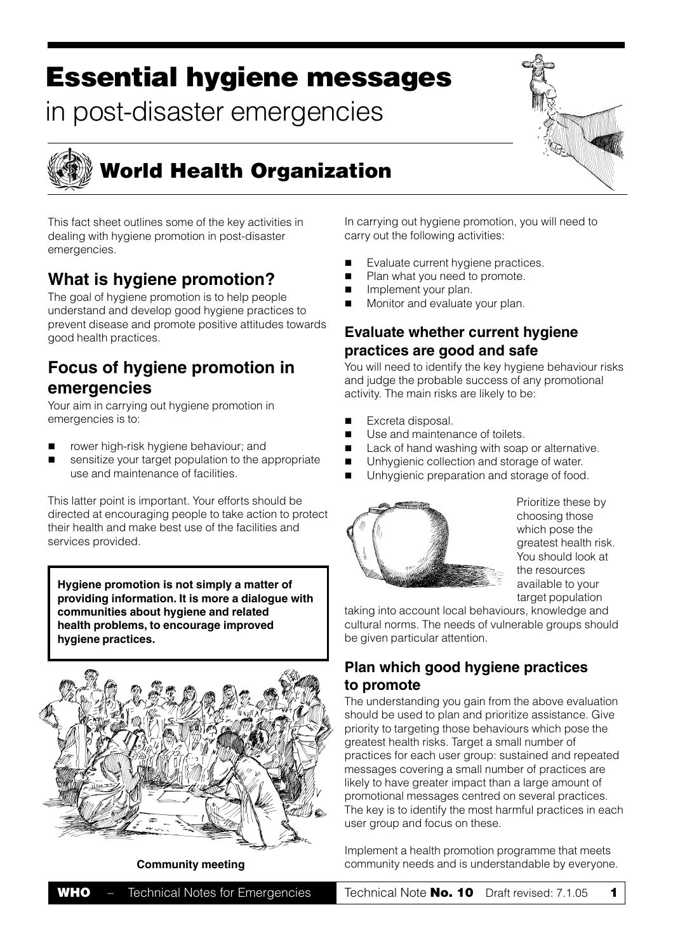# **Essential hygiene messages**

in post-disaster emergencies



# **World Health Organization**

This fact sheet outlines some of the key activities in dealing with hygiene promotion in post-disaster emergencies.

## **What is hygiene promotion?**

The goal of hygiene promotion is to help people understand and develop good hygiene practices to prevent disease and promote positive attitudes towards good health practices.

## **Focus of hygiene promotion in emergencies**

Your aim in carrying out hygiene promotion in emergencies is to:

- rower high-risk hygiene behaviour; and
- sensitize your target population to the appropriate use and maintenance of facilities.

This latter point is important. Your efforts should be directed at encouraging people to take action to protect their health and make best use of the facilities and services provided.

**Hygiene promotion is not simply a matter of providing information. It is more a dialogue with communities about hygiene and related health problems, to encourage improved hygiene practices.**



In carrying out hygiene promotion, you will need to carry out the following activities:

- Evaluate current hygiene practices.
- Plan what you need to promote.
- Implement your plan.
- Monitor and evaluate your plan.

### **Evaluate whether current hygiene practices are good and safe**

You will need to identify the key hygiene behaviour risks and judge the probable success of any promotional activity. The main risks are likely to be:

- Excreta disposal.
- Use and maintenance of toilets.
- Lack of hand washing with soap or alternative.
- **I** Unhygienic collection and storage of water.
- Unhygienic preparation and storage of food.



Prioritize these by choosing those which pose the greatest health risk. You should look at the resources available to your target population

taking into account local behaviours, knowledge and cultural norms. The needs of vulnerable groups should be given particular attention.

### **Plan which good hygiene practices to promote**

The understanding you gain from the above evaluation should be used to plan and prioritize assistance. Give priority to targeting those behaviours which pose the greatest health risks. Target a small number of practices for each user group: sustained and repeated messages covering a small number of practices are likely to have greater impact than a large amount of promotional messages centred on several practices. The key is to identify the most harmful practices in each user group and focus on these.

Implement a health promotion programme that meets **Community meeting** community needs and is understandable by everyone.

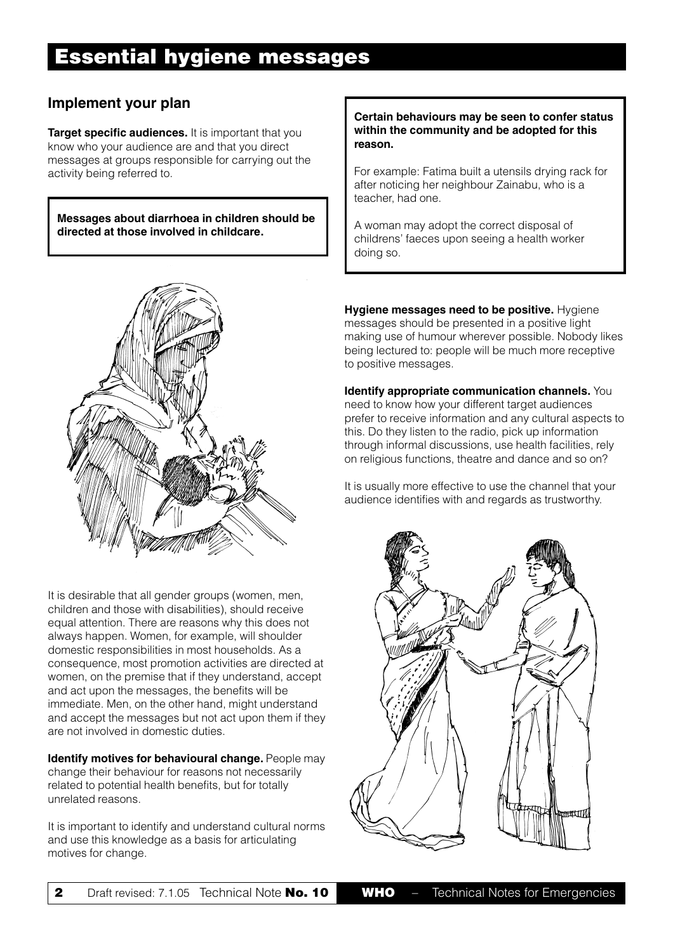### **Implement your plan**

**Target specific audiences.** It is important that you know who your audience are and that you direct messages at groups responsible for carrying out the activity being referred to.

**Messages about diarrhoea in children should be directed at those involved in childcare.**



It is desirable that all gender groups (women, men, children and those with disabilities), should receive equal attention. There are reasons why this does not always happen. Women, for example, will shoulder domestic responsibilities in most households. As a consequence, most promotion activities are directed at women, on the premise that if they understand, accept and act upon the messages, the benefits will be immediate. Men, on the other hand, might understand and accept the messages but not act upon them if they are not involved in domestic duties.

**Identify motives for behavioural change.** People may change their behaviour for reasons not necessarily related to potential health benefits, but for totally unrelated reasons.

It is important to identify and understand cultural norms and use this knowledge as a basis for articulating motives for change.

#### **Certain behaviours may be seen to confer status within the community and be adopted for this reason.**

For example: Fatima built a utensils drying rack for after noticing her neighbour Zainabu, who is a teacher, had one.

A woman may adopt the correct disposal of childrens' faeces upon seeing a health worker doing so.

**Hygiene messages need to be positive.** Hygiene messages should be presented in a positive light making use of humour wherever possible. Nobody likes being lectured to: people will be much more receptive to positive messages.

**Identify appropriate communication channels.** You need to know how your different target audiences prefer to receive information and any cultural aspects to this. Do they listen to the radio, pick up information through informal discussions, use health facilities, rely on religious functions, theatre and dance and so on?

It is usually more effective to use the channel that your audience identifies with and regards as trustworthy.

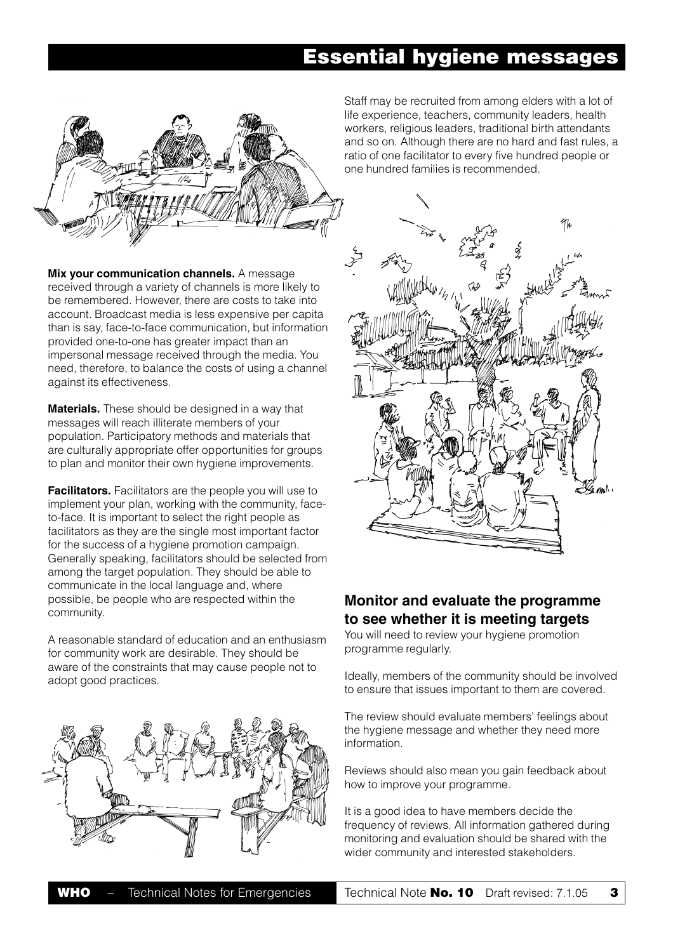# **Essential hygiene messages**



**Mix your communication channels.** A message received through a variety of channels is more likely to be remembered. However, there are costs to take into account. Broadcast media is less expensive per capita than is say, face-to-face communication, but information provided one-to-one has greater impact than an impersonal message received through the media. You need, therefore, to balance the costs of using a channel against its effectiveness.

**Materials.** These should be designed in a way that messages will reach illiterate members of your population. Participatory methods and materials that are culturally appropriate offer opportunities for groups to plan and monitor their own hygiene improvements.

**Facilitators.** Facilitators are the people you will use to implement your plan, working with the community, faceto-face. It is important to select the right people as facilitators as they are the single most important factor for the success of a hygiene promotion campaign. Generally speaking, facilitators should be selected from among the target population. They should be able to communicate in the local language and, where possible, be people who are respected within the community.

A reasonable standard of education and an enthusiasm for community work are desirable. They should be aware of the constraints that may cause people not to adopt good practices.



Staff may be recruited from among elders with a lot of life experience, teachers, community leaders, health workers, religious leaders, traditional birth attendants and so on. Although there are no hard and fast rules, a ratio of one facilitator to every five hundred people or one hundred families is recommended.



### **Monitor and evaluate the programme to see whether it is meeting targets**

You will need to review your hygiene promotion programme regularly.

Ideally, members of the community should be involved to ensure that issues important to them are covered.

The review should evaluate members' feelings about the hygiene message and whether they need more information.

Reviews should also mean you gain feedback about how to improve your programme.

It is a good idea to have members decide the frequency of reviews. All information gathered during monitoring and evaluation should be shared with the wider community and interested stakeholders.